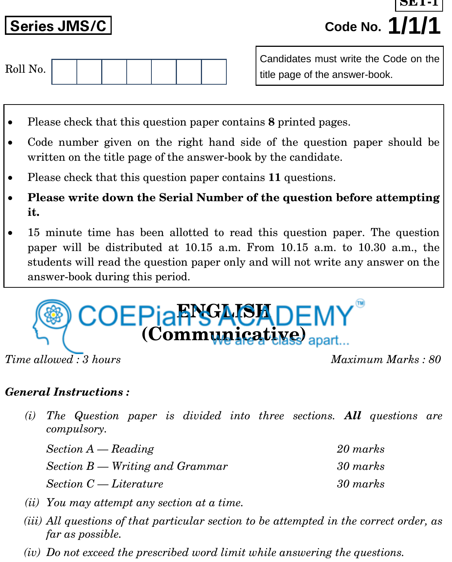**Series JMS/C Code No. 1/1/1 SET-1**

| Roll No. |  |  |  |  |  |  |  |  |
|----------|--|--|--|--|--|--|--|--|
|----------|--|--|--|--|--|--|--|--|

Candidates must write the Code on the title page of the answer-book.

- Please check that this question paper contains **8** printed pages.
- Code number given on the right hand side of the question paper should be written on the title page of the answer-book by the candidate.
- Please check that this question paper contains **11** questions.
- **Please write down the Serial Number of the question before attempting it.**
- 15 minute time has been allotted to read this question paper. The question paper will be distributed at 10.15 a.m. From 10.15 a.m. to 10.30 a.m., the students will read the question paper only and will not write any answer on the answer-book during this period.



*Time allowed : 3 hours Maximum Marks : 80*

# *General Instructions :*

*(i) The Question paper is divided into three sections. All questions are compulsory.*

| $Section A - Reading$             | 20 marks |
|-----------------------------------|----------|
| $Section B - Writing$ and Grammar | 30 marks |
| $Section C-Literature$            | 30 marks |

- *(ii) You may attempt any section at a time.*
- *(iii) All questions of that particular section to be attempted in the correct order, as far as possible.*
- *(iv) Do not exceed the prescribed word limit while answering the questions.*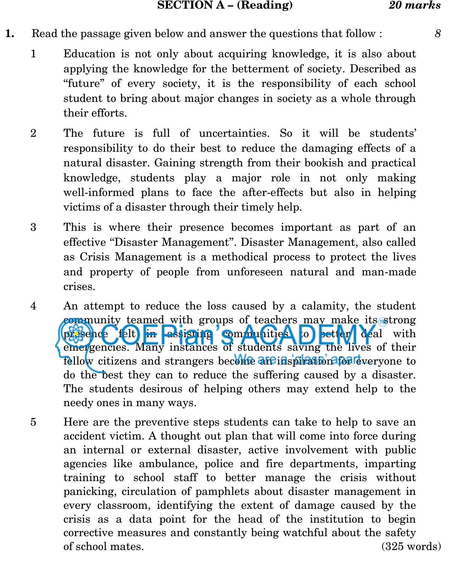#### **SECTION A – (Reading)** *20 marks*

- **1.** Read the passage given below and answer the questions that follow : *8*
	- 1 Education is not only about acquiring knowledge, it is also about applying the knowledge for the betterment of society. Described as "future" of every society, it is the responsibility of each school student to bring about major changes in society as a whole through their efforts.
	- 2 The future is full of uncertainties. So it will be students' responsibility to do their best to reduce the damaging effects of a natural disaster. Gaining strength from their bookish and practical knowledge, students play a major role in not only making well-informed plans to face the after-effects but also in helping victims of a disaster through their timely help.
	- 3 This is where their presence becomes important as part of an effective ''Disaster Management''. Disaster Management, also called as Crisis Management is a methodical process to protect the lives and property of people from unforeseen natural and man-made crises.
	- 4 An attempt to reduce the loss caused by a calamity, the student community teamed with groups of teachers may make its strong presence felt in assisting communities to better deal with emergencies. Many instances of students saving the lives of their fellow citizens and strangers become affeins presention for everyone to do the best they can to reduce the suffering caused by a disaster. The students desirous of helping others may extend help to the needy ones in many ways.
	- 5 Here are the preventive steps students can take to help to save an accident victim. A thought out plan that will come into force during an internal or external disaster, active involvement with public agencies like ambulance, police and fire departments, imparting training to school staff to better manage the crisis without panicking, circulation of pamphlets about disaster management in every classroom, identifying the extent of damage caused by the crisis as a data point for the head of the institution to begin corrective measures and constantly being watchful about the safety of school mates. (325 words)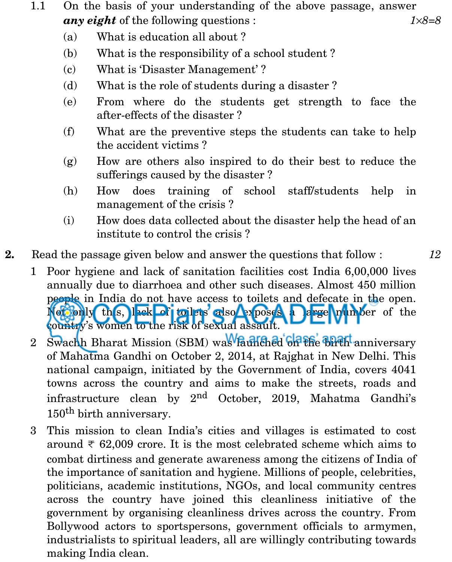- 1.1 On the basis of your understanding of the above passage, answer *any eight* of the following questions : *18=8*
	- (a) What is education all about ?
	- (b) What is the responsibility of a school student ?
	- (c) What is 'Disaster Management' ?
	- (d) What is the role of students during a disaster ?
	- (e) From where do the students get strength to face the after-effects of the disaster ?
	- (f) What are the preventive steps the students can take to help the accident victims ?
	- (g) How are others also inspired to do their best to reduce the sufferings caused by the disaster ?
	- (h) How does training of school staff/students help in management of the crisis ?
	- (i) How does data collected about the disaster help the head of an institute to control the crisis ?
- **2.** Read the passage given below and answer the questions that follow : *12*

- 1 Poor hygiene and lack of sanitation facilities cost India 6,00,000 lives annually due to diarrhoea and other such diseases. Almost 450 million people in India do not have access to toilets and defecate in the open. Noti only this, lack of toilets also exposes a large number of the country's women to the risk of sexual assault.
- 2 Swachh Bharat Mission (SBM) was launched on the birth anniversary of Mahatma Gandhi on October 2, 2014, at Rajghat in New Delhi. This national campaign, initiated by the Government of India, covers 4041 towns across the country and aims to make the streets, roads and infrastructure clean by  $2<sup>nd</sup>$  October, 2019, Mahatma Gandhi's 150<sup>th</sup> birth anniversary.
- 3 This mission to clean India's cities and villages is estimated to cost around  $\overline{\tau}$  62,009 crore. It is the most celebrated scheme which aims to combat dirtiness and generate awareness among the citizens of India of the importance of sanitation and hygiene. Millions of people, celebrities, politicians, academic institutions, NGOs, and local community centres across the country have joined this cleanliness initiative of the government by organising cleanliness drives across the country. From Bollywood actors to sportspersons, government officials to armymen, industrialists to spiritual leaders, all are willingly contributing towards making India clean.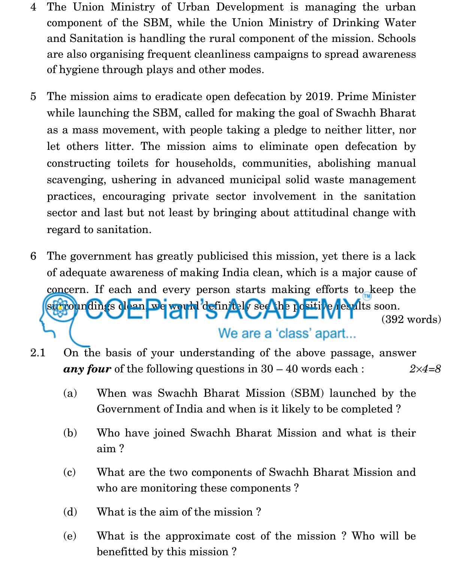- 4 The Union Ministry of Urban Development is managing the urban component of the SBM, while the Union Ministry of Drinking Water and Sanitation is handling the rural component of the mission. Schools are also organising frequent cleanliness campaigns to spread awareness of hygiene through plays and other modes.
- 5 The mission aims to eradicate open defecation by 2019. Prime Minister while launching the SBM, called for making the goal of Swachh Bharat as a mass movement, with people taking a pledge to neither litter, nor let others litter. The mission aims to eliminate open defecation by constructing toilets for households, communities, abolishing manual scavenging, ushering in advanced municipal solid waste management practices, encouraging private sector involvement in the sanitation sector and last but not least by bringing about attitudinal change with regard to sanitation.
- 6 The government has greatly publicised this mission, yet there is a lack of adequate awareness of making India clean, which is a major cause of concern. If each and every person starts making efforts to keep the surroundings clean, we would definitely see the positive results soon. (392 words) We are a 'class' apart...
- 2.1 On the basis of your understanding of the above passage, answer *any four* of the following questions in 30 – 40 words each : *24=8*
	- (a) When was Swachh Bharat Mission (SBM) launched by the Government of India and when is it likely to be completed ?
	- (b) Who have joined Swachh Bharat Mission and what is their aim ?
	- (c) What are the two components of Swachh Bharat Mission and who are monitoring these components ?
	- (d) What is the aim of the mission ?
	- (e) What is the approximate cost of the mission ? Who will be benefitted by this mission ?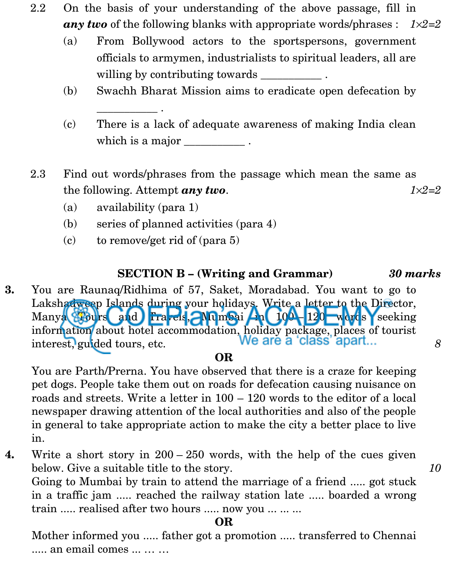- 2.2 On the basis of your understanding of the above passage, fill in *any two* of the following blanks with appropriate words/phrases :  $1 \times 2 = 2$ 
	- (a) From Bollywood actors to the sportspersons, government officials to armymen, industrialists to spiritual leaders, all are willing by contributing towards  $\qquad \qquad$ .
	- (b) Swachh Bharat Mission aims to eradicate open defecation by
	- (c) There is a lack of adequate awareness of making India clean which is a major .
- 2.3 Find out words/phrases from the passage which mean the same as the following. Attempt *any two*.  $1 \times 2 = 2$ 
	- (a) availability (para 1)

\_\_\_\_\_\_\_\_\_\_\_ .

- (b) series of planned activities (para 4)
- (c) to remove/get rid of (para 5)

## **SECTION B – (Writing and Grammar)** *30 marks*

**3.** You are Raunaq/Ridhima of 57, Saket, Moradabad. You want to go to Lakshadweep Islands during your holidays. Write a letter to the Director, Manya Tours and Travels, Mumsai 4a 100 - 120 words seeking information about hotel accommodation, holiday package, places of tourist<br>interest louided tours etc. We are a class apart... interest, guided tours, etc. *8*

## **OR**

You are Parth/Prerna. You have observed that there is a craze for keeping pet dogs. People take them out on roads for defecation causing nuisance on roads and streets. Write a letter in 100 – 120 words to the editor of a local newspaper drawing attention of the local authorities and also of the people in general to take appropriate action to make the city a better place to live in.

**4.** Write a short story in 200 – 250 words, with the help of the cues given below. Give a suitable title to the story. *10*

Going to Mumbai by train to attend the marriage of a friend ..... got stuck in a traffic jam ..... reached the railway station late ..... boarded a wrong train ..... realised after two hours ..... now you ... ... ...

### **OR**

Mother informed you ..... father got a promotion ..... transferred to Chennai ..... an email comes ... … …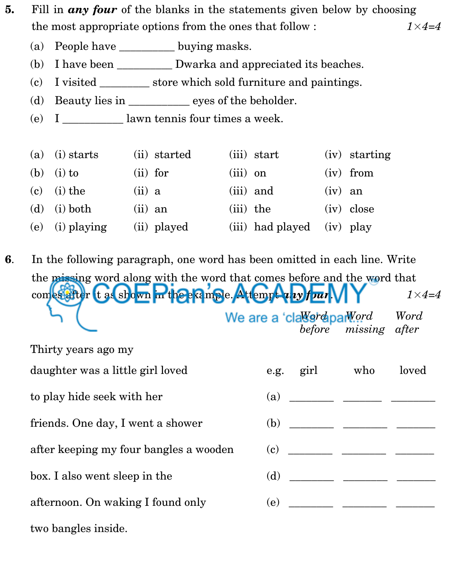- **5.** Fill in *any four* of the blanks in the statements given below by choosing the most appropriate options from the ones that follow : *1*×*4=4*
	- (a) People have buying masks.
	- (b) I have been Dwarka and appreciated its beaches.
	- (c) I visited \_\_\_\_\_\_\_\_\_ store which sold furniture and paintings.
	- (d) Beauty lies in \_\_\_\_\_\_\_\_\_\_\_ eyes of the beholder.
	- (e) I \_\_\_\_\_\_\_\_\_\_\_ lawn tennis four times a week.

| $(a)$ (i) starts | (ii) started | (iii) start                | $(iv)$ starting |
|------------------|--------------|----------------------------|-----------------|
| (b) (i) to       | $(ii)$ for   | $(iii)$ on                 | $(iv)$ from     |
| $(c)$ (i) the    | $(ii)$ a     | $(iii)$ and                | $(iv)$ an       |
| $(d)$ (i) both   | $(ii)$ an    | (iii) the                  | $(iv)$ close    |
| (e) (i) playing  | (ii) played  | (iii) had played (iv) play |                 |

**6**. In the following paragraph, one word has been omitted in each line. Write the missing word along with the word that comes before and the word that comes after it as shown in the example. Attempt  $a_1y$  four  $\sqrt{Y}$   $1 \times 4=4$ We are a 'cla<sup>Werd</sup> apa*Word* Word *before missing after*

| Thirty years ago my                    |           |                                                                                                                                                                                                                                                                                                                                                                                      |       |
|----------------------------------------|-----------|--------------------------------------------------------------------------------------------------------------------------------------------------------------------------------------------------------------------------------------------------------------------------------------------------------------------------------------------------------------------------------------|-------|
| daughter was a little girl loved       | e.g. girl | who                                                                                                                                                                                                                                                                                                                                                                                  | loved |
| to play hide seek with her             |           |                                                                                                                                                                                                                                                                                                                                                                                      |       |
| friends. One day, I went a shower      |           |                                                                                                                                                                                                                                                                                                                                                                                      |       |
| after keeping my four bangles a wooden |           | $\overline{c}$ $\overline{c}$ $\overline{c}$ $\overline{c}$ $\overline{c}$ $\overline{c}$ $\overline{c}$ $\overline{c}$ $\overline{c}$ $\overline{c}$ $\overline{c}$ $\overline{c}$ $\overline{c}$ $\overline{c}$ $\overline{c}$ $\overline{c}$ $\overline{c}$ $\overline{c}$ $\overline{c}$ $\overline{c}$ $\overline{c}$ $\overline{c}$ $\overline{c}$ $\overline{c}$ $\overline{$ |       |
| box. I also went sleep in the          |           | (d)                                                                                                                                                                                                                                                                                                                                                                                  |       |
| afternoon. On waking I found only      |           |                                                                                                                                                                                                                                                                                                                                                                                      |       |
| two bangles inside.                    |           |                                                                                                                                                                                                                                                                                                                                                                                      |       |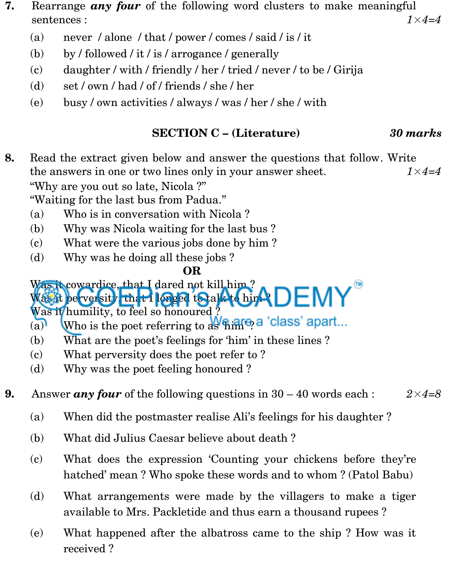- **7.** Rearrange *any four* of the following word clusters to make meaningful sentences : *1*×*4=4*
	- (a) never / alone / that / power / comes / said / is / it
	- (b) by / followed / it / is / arrogance / generally
	- (c) daughter / with / friendly / her / tried / never / to be / Girija
	- (d) set / own / had / of / friends / she / her
	- (e) busy / own activities / always / was / her / she / with

# **SECTION C – (Literature)** *30 marks*

**8.** Read the extract given below and answer the questions that follow. Write the answers in one or two lines only in your answer sheet. *1*×*4=4* ''Why are you out so late, Nicola ?''

''Waiting for the last bus from Padua.''

- (a) Who is in conversation with Nicola ?
- (b) Why was Nicola waiting for the last bus ?
- (c) What were the various jobs done by him ?
- (d) Why was he doing all these jobs ?

# **OR**

Was it cowardice, that I dared not kill him?  $W$ as it perversity, that I longed to all to him  $\triangle DEMY$ 

Was it humility, to feel so honoured ?

- (a) Who is the poet referring to  $\frac{1}{4}$  a 'class' apart...
- (b) What are the poet's feelings for 'him' in these lines ?
- (c) What perversity does the poet refer to ?
- (d) Why was the poet feeling honoured ?
- **9.** Answer *any four* of the following questions in  $30 40$  words each :  $2 \times 4 = 8$ 
	- (a) When did the postmaster realise Ali's feelings for his daughter ?
	- (b) What did Julius Caesar believe about death ?
	- (c) What does the expression 'Counting your chickens before they're hatched' mean ? Who spoke these words and to whom ? (Patol Babu)
	- (d) What arrangements were made by the villagers to make a tiger available to Mrs. Packletide and thus earn a thousand rupees ?
	- (e) What happened after the albatross came to the ship ? How was it received ?